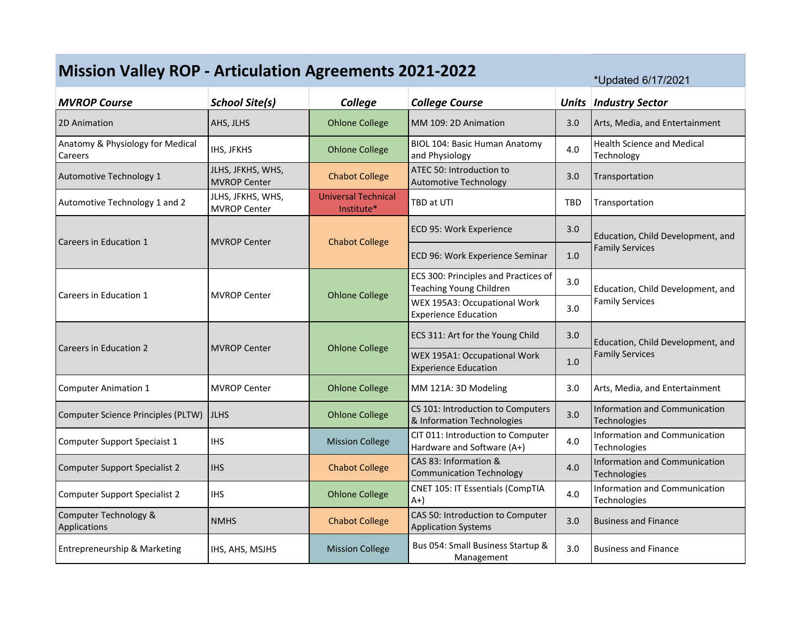| <b>Mission Valley ROP - Articulation Agreements 2021-2022</b><br>*Updated 6/17/2021 |                                          |                                          |                                                                 |              |                                                             |  |  |
|-------------------------------------------------------------------------------------|------------------------------------------|------------------------------------------|-----------------------------------------------------------------|--------------|-------------------------------------------------------------|--|--|
| <b>MVROP Course</b>                                                                 | <b>School Site(s)</b>                    | College                                  | <b>College Course</b>                                           | <b>Units</b> | <b>Industry Sector</b>                                      |  |  |
| 2D Animation                                                                        | AHS, JLHS                                | <b>Ohlone College</b>                    | MM 109: 2D Animation                                            | 3.0          | Arts, Media, and Entertainment                              |  |  |
| Anatomy & Physiology for Medical<br>Careers                                         | IHS, JFKHS                               | <b>Ohlone College</b>                    | <b>BIOL 104: Basic Human Anatomy</b><br>and Physiology          | 4.0          | <b>Health Science and Medical</b><br>Technology             |  |  |
| Automotive Technology 1                                                             | JLHS, JFKHS, WHS,<br><b>MVROP Center</b> | <b>Chabot College</b>                    | ATEC 50: Introduction to<br><b>Automotive Technology</b>        | 3.0          | Transportation                                              |  |  |
| Automotive Technology 1 and 2                                                       | JLHS, JFKHS, WHS,<br><b>MVROP Center</b> | <b>Universal Technical</b><br>Institute* | TBD at UTI                                                      | <b>TBD</b>   | Transportation                                              |  |  |
| Careers in Education 1                                                              | <b>MVROP Center</b>                      | <b>Chabot College</b>                    | ECD 95: Work Experience                                         | 3.0          | Education, Child Development, and<br><b>Family Services</b> |  |  |
|                                                                                     |                                          |                                          | ECD 96: Work Experience Seminar                                 | 1.0          |                                                             |  |  |
| Careers in Education 1                                                              | <b>MVROP Center</b>                      | <b>Ohlone College</b>                    | ECS 300: Principles and Practices of<br>Teaching Young Children | 3.0          | Education, Child Development, and                           |  |  |
|                                                                                     |                                          |                                          | WEX 195A3: Occupational Work<br><b>Experience Education</b>     | 3.0          | <b>Family Services</b>                                      |  |  |
| Careers in Education 2                                                              | <b>MVROP Center</b>                      | <b>Ohlone College</b>                    | ECS 311: Art for the Young Child                                | 3.0          | Education, Child Development, and<br><b>Family Services</b> |  |  |
|                                                                                     |                                          |                                          | WEX 195A1: Occupational Work<br><b>Experience Education</b>     | 1.0          |                                                             |  |  |
| <b>Computer Animation 1</b>                                                         | <b>MVROP Center</b>                      | <b>Ohlone College</b>                    | MM 121A: 3D Modeling                                            | 3.0          | Arts, Media, and Entertainment                              |  |  |
| Computer Science Principles (PLTW)                                                  | <b>JLHS</b>                              | <b>Ohlone College</b>                    | CS 101: Introduction to Computers<br>& Information Technologies | 3.0          | <b>Information and Communication</b><br>Technologies        |  |  |
| Computer Support Speciaist 1                                                        | <b>IHS</b>                               | <b>Mission College</b>                   | CIT 011: Introduction to Computer<br>Hardware and Software (A+) | 4.0          | <b>Information and Communication</b><br>Technologies        |  |  |
| <b>Computer Support Specialist 2</b>                                                | <b>IHS</b>                               | <b>Chabot College</b>                    | CAS 83: Information &<br><b>Communication Technology</b>        | 4.0          | <b>Information and Communication</b><br>Technologies        |  |  |
| <b>Computer Support Specialist 2</b>                                                | <b>IHS</b>                               | <b>Ohlone College</b>                    | <b>CNET 105: IT Essentials (CompTIA</b><br>$A+$                 | 4.0          | Information and Communication<br>Technologies               |  |  |
| Computer Technology &<br>Applications                                               | <b>NMHS</b>                              | <b>Chabot College</b>                    | CAS 50: Introduction to Computer<br><b>Application Systems</b>  | 3.0          | <b>Business and Finance</b>                                 |  |  |
| Entrepreneurship & Marketing                                                        | IHS, AHS, MSJHS                          | <b>Mission College</b>                   | Bus 054: Small Business Startup &<br>Management                 | 3.0          | <b>Business and Finance</b>                                 |  |  |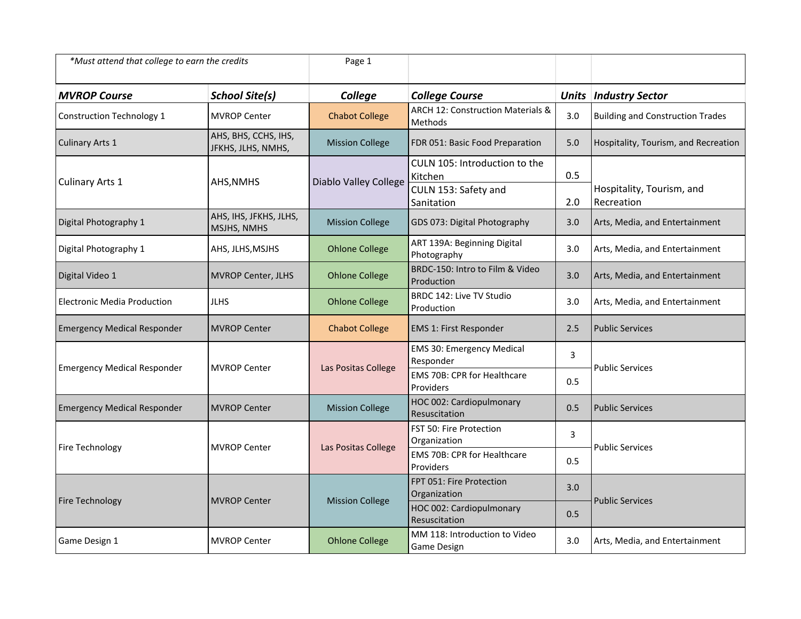| *Must attend that college to earn the credits |                                            | Page 1                       |                                                                                |              |                                         |
|-----------------------------------------------|--------------------------------------------|------------------------------|--------------------------------------------------------------------------------|--------------|-----------------------------------------|
| <b>MVROP Course</b>                           | <b>School Site(s)</b>                      | College                      | <b>College Course</b>                                                          | <b>Units</b> | <b>Industry Sector</b>                  |
| Construction Technology 1                     | <b>MVROP Center</b>                        | <b>Chabot College</b>        | ARCH 12: Construction Materials &<br>Methods                                   | 3.0          | <b>Building and Construction Trades</b> |
| <b>Culinary Arts 1</b>                        | AHS, BHS, CCHS, IHS,<br>JFKHS, JLHS, NMHS, | <b>Mission College</b>       | FDR 051: Basic Food Preparation                                                | 5.0          | Hospitality, Tourism, and Recreation    |
| Culinary Arts 1                               | AHS, NMHS                                  | <b>Diablo Valley College</b> | CULN 105: Introduction to the<br>Kitchen<br>CULN 153: Safety and<br>Sanitation | 0.5<br>2.0   | Hospitality, Tourism, and<br>Recreation |
| Digital Photography 1                         | AHS, IHS, JFKHS, JLHS,<br>MSJHS, NMHS      | <b>Mission College</b>       | GDS 073: Digital Photography                                                   | 3.0          | Arts, Media, and Entertainment          |
| Digital Photography 1                         | AHS, JLHS, MSJHS                           | <b>Ohlone College</b>        | ART 139A: Beginning Digital<br>Photography                                     | 3.0          | Arts, Media, and Entertainment          |
| Digital Video 1                               | <b>MVROP Center, JLHS</b>                  | <b>Ohlone College</b>        | BRDC-150: Intro to Film & Video<br>Production                                  | 3.0          | Arts, Media, and Entertainment          |
| <b>Electronic Media Production</b>            | <b>JLHS</b>                                | <b>Ohlone College</b>        | BRDC 142: Live TV Studio<br>Production                                         | 3.0          | Arts, Media, and Entertainment          |
| <b>Emergency Medical Responder</b>            | <b>MVROP Center</b>                        | <b>Chabot College</b>        | EMS 1: First Responder                                                         | 2.5          | <b>Public Services</b>                  |
| <b>Emergency Medical Responder</b>            | <b>MVROP Center</b>                        | Las Positas College          | <b>EMS 30: Emergency Medical</b><br>Responder                                  | 3            | <b>Public Services</b>                  |
|                                               |                                            |                              | EMS 70B: CPR for Healthcare<br>Providers                                       | 0.5          |                                         |
| <b>Emergency Medical Responder</b>            | <b>MVROP Center</b>                        | <b>Mission College</b>       | HOC 002: Cardiopulmonary<br>Resuscitation                                      | 0.5          | <b>Public Services</b>                  |
| Fire Technology                               | <b>MVROP Center</b>                        | Las Positas College          | FST 50: Fire Protection<br>Organization                                        | 3            | <b>Public Services</b>                  |
|                                               |                                            |                              | <b>EMS 70B: CPR for Healthcare</b><br>Providers                                | 0.5          |                                         |
| Fire Technology                               | <b>MVROP Center</b>                        | <b>Mission College</b>       | FPT 051: Fire Protection<br>Organization                                       | 3.0          | <b>Public Services</b>                  |
|                                               |                                            |                              | HOC 002: Cardiopulmonary<br>Resuscitation                                      | 0.5          |                                         |
| Game Design 1                                 | <b>MVROP Center</b>                        | <b>Ohlone College</b>        | MM 118: Introduction to Video<br>Game Design                                   | 3.0          | Arts, Media, and Entertainment          |